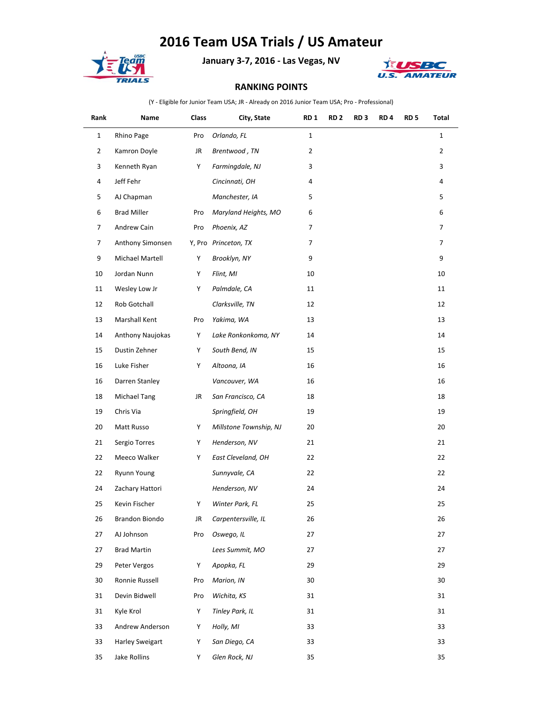## **2016 Team USA Trials / US Amateur**



**January 3-7, 2016 - Las Vegas, NV**



## **RANKING POINTS**

(Y - Eligible for Junior Team USA; JR - Already on 2016 Junior Team USA; Pro - Professional)

| Rank           | Name               | Class | City, State            | RD 1           | RD <sub>2</sub> | RD <sub>3</sub> | RD <sub>4</sub> | RD <sub>5</sub> | Total          |
|----------------|--------------------|-------|------------------------|----------------|-----------------|-----------------|-----------------|-----------------|----------------|
| $\mathbf{1}$   | Rhino Page         | Pro   | Orlando, FL            | $1\,$          |                 |                 |                 |                 | $\mathbf{1}$   |
| $\overline{2}$ | Kamron Doyle       | JR    | Brentwood, TN          | $\overline{2}$ |                 |                 |                 |                 | $\overline{2}$ |
| 3              | Kenneth Ryan       | Υ     | Farmingdale, NJ        | 3              |                 |                 |                 |                 | 3              |
| 4              | Jeff Fehr          |       | Cincinnati, OH         | 4              |                 |                 |                 |                 | 4              |
| 5              | AJ Chapman         |       | Manchester, IA         | 5              |                 |                 |                 |                 | 5              |
| 6              | <b>Brad Miller</b> | Pro   | Maryland Heights, MO   | 6              |                 |                 |                 |                 | 6              |
| 7              | Andrew Cain        | Pro   | Phoenix, AZ            | 7              |                 |                 |                 |                 | $\overline{7}$ |
| 7              | Anthony Simonsen   |       | Y, Pro Princeton, TX   | 7              |                 |                 |                 |                 | $\overline{7}$ |
| 9              | Michael Martell    | Υ     | Brooklyn, NY           | 9              |                 |                 |                 |                 | 9              |
| 10             | Jordan Nunn        | Υ     | Flint, MI              | 10             |                 |                 |                 |                 | 10             |
| 11             | Wesley Low Jr      | Υ     | Palmdale, CA           | 11             |                 |                 |                 |                 | 11             |
| 12             | Rob Gotchall       |       | Clarksville, TN        | 12             |                 |                 |                 |                 | 12             |
| 13             | Marshall Kent      | Pro   | Yakima, WA             | 13             |                 |                 |                 |                 | 13             |
| 14             | Anthony Naujokas   | Y     | Lake Ronkonkoma, NY    | 14             |                 |                 |                 |                 | 14             |
| 15             | Dustin Zehner      | Y     | South Bend, IN         | 15             |                 |                 |                 |                 | 15             |
| 16             | Luke Fisher        | Υ     | Altoona, IA            | 16             |                 |                 |                 |                 | 16             |
| 16             | Darren Stanley     |       | Vancouver, WA          | 16             |                 |                 |                 |                 | 16             |
| 18             | Michael Tang       | JR    | San Francisco, CA      | 18             |                 |                 |                 |                 | 18             |
| 19             | Chris Via          |       | Springfield, OH        | 19             |                 |                 |                 |                 | 19             |
| 20             | Matt Russo         | Y     | Millstone Township, NJ | 20             |                 |                 |                 |                 | 20             |
| 21             | Sergio Torres      | Υ     | Henderson, NV          | 21             |                 |                 |                 |                 | 21             |
| 22             | Meeco Walker       | Y     | East Cleveland, OH     | 22             |                 |                 |                 |                 | 22             |
| 22             | <b>Ryunn Young</b> |       | Sunnyvale, CA          | 22             |                 |                 |                 |                 | 22             |
| 24             | Zachary Hattori    |       | Henderson, NV          | 24             |                 |                 |                 |                 | 24             |
| 25             | Kevin Fischer      | Y     | Winter Park, FL        | 25             |                 |                 |                 |                 | 25             |
| 26             | Brandon Biondo     | JR    | Carpentersville, IL    | 26             |                 |                 |                 |                 | 26             |
| 27             | AJ Johnson         | Pro   | Oswego, IL             | 27             |                 |                 |                 |                 | 27             |
| 27             | <b>Brad Martin</b> |       | Lees Summit, MO        | 27             |                 |                 |                 |                 | 27             |
| 29             | Peter Vergos       | Υ     | Apopka, FL             | 29             |                 |                 |                 |                 | 29             |
| 30             | Ronnie Russell     | Pro   | Marion, IN             | 30             |                 |                 |                 |                 | 30             |
| 31             | Devin Bidwell      | Pro   | Wichita, KS            | 31             |                 |                 |                 |                 | 31             |
| 31             | Kyle Krol          | Υ     | Tinley Park, IL        | 31             |                 |                 |                 |                 | 31             |
| 33             | Andrew Anderson    | Y     | Holly, MI              | 33             |                 |                 |                 |                 | 33             |
| 33             | Harley Sweigart    | Υ     | San Diego, CA          | 33             |                 |                 |                 |                 | 33             |
| 35             | Jake Rollins       | Y     | Glen Rock, NJ          | 35             |                 |                 |                 |                 | 35             |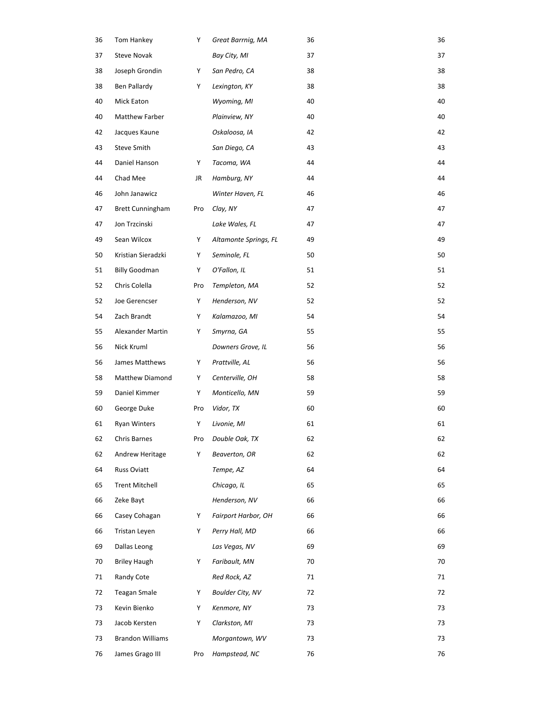| 36 | Tom Hankey              | Y   | Great Barrnig, MA          | 36 | 36 |
|----|-------------------------|-----|----------------------------|----|----|
| 37 | Steve Novak             |     | Bay City, MI               | 37 | 37 |
| 38 | Joseph Grondin          | Y   | San Pedro, CA              | 38 | 38 |
| 38 | Ben Pallardy            | Υ   | Lexington, KY              | 38 | 38 |
| 40 | Mick Eaton              |     | Wyoming, MI                | 40 | 40 |
| 40 | Matthew Farber          |     | Plainview, NY              | 40 | 40 |
| 42 | Jacques Kaune           |     | Oskaloosa, IA              | 42 | 42 |
| 43 | Steve Smith             |     | San Diego, CA              | 43 | 43 |
| 44 | Daniel Hanson           | Υ   | Tacoma, WA                 | 44 | 44 |
| 44 | Chad Mee                | JR  | Hamburg, NY                | 44 | 44 |
| 46 | John Janawicz           |     | Winter Haven, FL           | 46 | 46 |
| 47 | <b>Brett Cunningham</b> | Pro | Clay, NY                   | 47 | 47 |
| 47 | Jon Trzcinski           |     | Lake Wales, FL             | 47 | 47 |
| 49 | Sean Wilcox             | Υ   | Altamonte Springs, FL      | 49 | 49 |
| 50 | Kristian Sieradzki      | Υ   | Seminole, FL               | 50 | 50 |
| 51 | <b>Billy Goodman</b>    | Υ   | O'Fallon, IL               | 51 | 51 |
| 52 | Chris Colella           | Pro | Templeton, MA              | 52 | 52 |
| 52 | Joe Gerencser           | Υ   | Henderson, NV              | 52 | 52 |
| 54 | Zach Brandt             | Υ   | Kalamazoo, MI              | 54 | 54 |
| 55 | Alexander Martin        | Y   | Smyrna, GA                 | 55 | 55 |
| 56 | Nick Kruml              |     | Downers Grove, IL          | 56 | 56 |
| 56 | James Matthews          | Y   | Prattville, AL             | 56 | 56 |
| 58 | Matthew Diamond         | Υ   | Centerville, OH            | 58 | 58 |
| 59 | Daniel Kimmer           | Υ   | Monticello, MN             | 59 | 59 |
| 60 | George Duke             | Pro | Vidor, TX                  | 60 | 60 |
| 61 | <b>Ryan Winters</b>     | Υ   | Livonie, MI                | 61 | 61 |
| 62 | Chris Barnes            | Pro | Double Oak, TX             | 62 | 62 |
| 62 | Andrew Heritage         | Υ   | Beaverton, OR              | 62 | 62 |
| 64 | Russ Oviatt             |     | Tempe, AZ                  | 64 | 64 |
| 65 | <b>Trent Mitchell</b>   |     | Chicago, IL                | 65 | 65 |
| 66 | Zeke Bayt               |     | Henderson, NV              | 66 | 66 |
| 66 | Casey Cohagan           | Υ   | <b>Fairport Harbor, OH</b> | 66 | 66 |
| 66 | Tristan Leyen           | Y   | Perry Hall, MD             | 66 | 66 |
| 69 | Dallas Leong            |     | Las Vegas, NV              | 69 | 69 |
| 70 | <b>Briley Haugh</b>     | Υ   | Faribault, MN              | 70 | 70 |
| 71 | Randy Cote              |     | Red Rock, AZ               | 71 | 71 |
| 72 | <b>Teagan Smale</b>     | Υ   | <b>Boulder City, NV</b>    | 72 | 72 |
| 73 | Kevin Bienko            | Y   | Kenmore, NY                | 73 | 73 |
| 73 | Jacob Kersten           | Υ   | Clarkston, MI              | 73 | 73 |
| 73 | <b>Brandon Williams</b> |     | Morgantown, WV             | 73 | 73 |
| 76 | James Grago III         | Pro | Hampstead, NC              | 76 | 76 |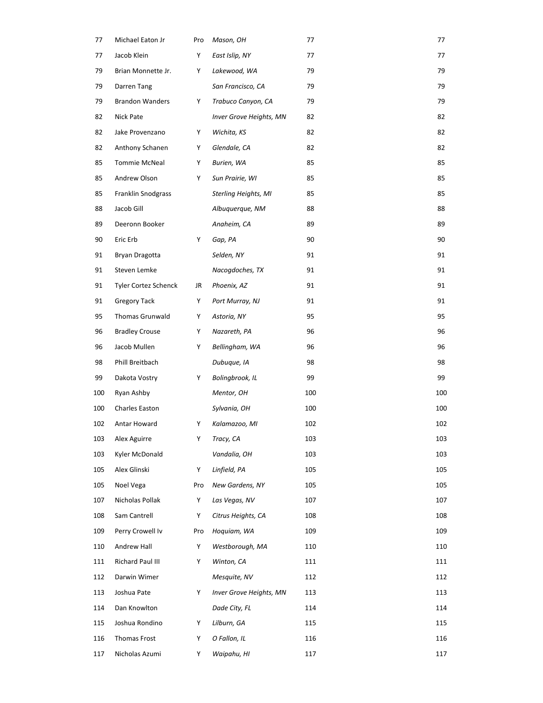| 77  | Michael Eaton Jr       | Pro | Mason, OH                   | 77  | 77  |
|-----|------------------------|-----|-----------------------------|-----|-----|
| 77  | Jacob Klein            | Υ   | East Islip, NY              | 77  | 77  |
| 79  | Brian Monnette Jr.     | Y   | Lakewood, WA                | 79  | 79  |
| 79  | Darren Tang            |     | San Francisco, CA           | 79  | 79  |
| 79  | <b>Brandon Wanders</b> | Y   | Trabuco Canyon, CA          | 79  | 79  |
| 82  | Nick Pate              |     | Inver Grove Heights, MN     | 82  | 82  |
| 82  | Jake Provenzano        | Y   | Wichita, KS                 | 82  | 82  |
| 82  | Anthony Schanen        | Υ   | Glendale, CA                | 82  | 82  |
| 85  | <b>Tommie McNeal</b>   | Y   | Burien, WA                  | 85  | 85  |
| 85  | Andrew Olson           | Y   | Sun Prairie, WI             | 85  | 85  |
| 85  | Franklin Snodgrass     |     | <b>Sterling Heights, MI</b> | 85  | 85  |
| 88  | Jacob Gill             |     | Albuquerque, NM             | 88  | 88  |
| 89  | Deeronn Booker         |     | Anaheim, CA                 | 89  | 89  |
| 90  | Eric Erb               | Y   | Gap, PA                     | 90  | 90  |
| 91  | Bryan Dragotta         |     | Selden, NY                  | 91  | 91  |
| 91  | Steven Lemke           |     | Nacogdoches, TX             | 91  | 91  |
| 91  | Tyler Cortez Schenck   | JR  | Phoenix, AZ                 | 91  | 91  |
| 91  | <b>Gregory Tack</b>    | Υ   | Port Murray, NJ             | 91  | 91  |
| 95  | Thomas Grunwald        | Y   | Astoria, NY                 | 95  | 95  |
| 96  | <b>Bradley Crouse</b>  | Υ   | Nazareth, PA                | 96  | 96  |
| 96  | Jacob Mullen           | Y   | Bellingham, WA              | 96  | 96  |
| 98  | Phill Breitbach        |     | Dubuque, IA                 | 98  | 98  |
| 99  | Dakota Vostry          | Y   | Bolingbrook, IL             | 99  | 99  |
| 100 | Ryan Ashby             |     | Mentor, OH                  | 100 | 100 |
| 100 | Charles Easton         |     | Sylvania, OH                | 100 | 100 |
| 102 | Antar Howard           | Υ   | Kalamazoo, MI               | 102 | 102 |
| 103 | Alex Aguirre           | Y   | Tracy, CA                   | 103 | 103 |
| 103 | Kyler McDonald         |     | Vandalia, OH                | 103 | 103 |
| 105 | Alex Glinski           | Y   | Linfield, PA                | 105 | 105 |
| 105 | Noel Vega              | Pro | New Gardens, NY             | 105 | 105 |
| 107 | Nicholas Pollak        | Υ   | Las Vegas, NV               | 107 | 107 |
| 108 | Sam Cantrell           | Y   | Citrus Heights, CA          | 108 | 108 |
| 109 | Perry Crowell Iv       | Pro | Hoquiam, WA                 | 109 | 109 |
| 110 | Andrew Hall            | Y   | Westborough, MA             | 110 | 110 |
| 111 | Richard Paul III       | Y   | Winton, CA                  | 111 | 111 |
| 112 | Darwin Wimer           |     | Mesquite, NV                | 112 | 112 |
| 113 | Joshua Pate            | Y   | Inver Grove Heights, MN     | 113 | 113 |
| 114 | Dan Knowlton           |     | Dade City, FL               | 114 | 114 |
| 115 | Joshua Rondino         | Y   | Lilburn, GA                 | 115 | 115 |
| 116 | Thomas Frost           | Y   | O Fallon, IL                | 116 | 116 |
| 117 | Nicholas Azumi         | Y   | Waipahu, HI                 | 117 | 117 |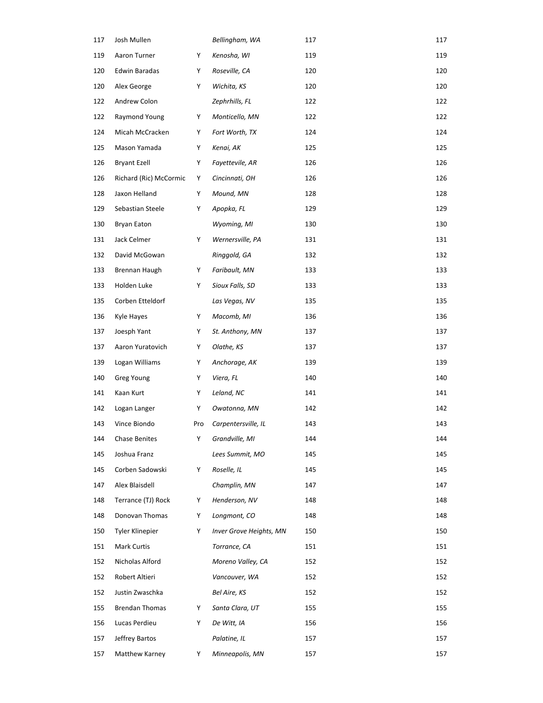| 117 | Josh Mullen            |     | Bellingham, WA          | 117 | 117 |
|-----|------------------------|-----|-------------------------|-----|-----|
| 119 | Aaron Turner           | Y   | Kenosha, WI             | 119 | 119 |
| 120 | Edwin Baradas          | Y   | Roseville, CA           | 120 | 120 |
| 120 | Alex George            | Y   | Wichita, KS             | 120 | 120 |
| 122 | Andrew Colon           |     | Zephrhills, FL          | 122 | 122 |
| 122 | Raymond Young          | Y   | Monticello, MN          | 122 | 122 |
| 124 | Micah McCracken        | Y   | Fort Worth, TX          | 124 | 124 |
| 125 | Mason Yamada           | Y   | Kenai, AK               | 125 | 125 |
| 126 | <b>Bryant Ezell</b>    | Y   | Fayettevile, AR         | 126 | 126 |
| 126 | Richard (Ric) McCormic | Υ   | Cincinnati, OH          | 126 | 126 |
| 128 | Jaxon Helland          | Y   | Mound, MN               | 128 | 128 |
| 129 | Sebastian Steele       | Y   | Apopka, FL              | 129 | 129 |
| 130 | Bryan Eaton            |     | Wyoming, MI             | 130 | 130 |
| 131 | Jack Celmer            | Y   | Wernersville, PA        | 131 | 131 |
| 132 | David McGowan          |     | Ringgold, GA            | 132 | 132 |
| 133 | Brennan Haugh          | Y   | Faribault, MN           | 133 | 133 |
| 133 | Holden Luke            | Y   | Sioux Falls, SD         | 133 | 133 |
| 135 | Corben Etteldorf       |     | Las Vegas, NV           | 135 | 135 |
| 136 | Kyle Hayes             | Y   | Macomb, MI              | 136 | 136 |
| 137 | Joesph Yant            | Y   | St. Anthony, MN         | 137 | 137 |
| 137 | Aaron Yuratovich       | Y   | Olathe, KS              | 137 | 137 |
| 139 | Logan Williams         | Y   | Anchorage, AK           | 139 | 139 |
| 140 | Greg Young             | Y   | Viera, FL               | 140 | 140 |
| 141 | Kaan Kurt              | Y   | Leland, NC              | 141 | 141 |
| 142 | Logan Langer           | Y   | Owatonna, MN            | 142 | 142 |
| 143 | Vince Biondo           | Pro | Carpentersville, IL     | 143 | 143 |
| 144 | <b>Chase Benites</b>   | Y   | Grandville, MI          | 144 | 144 |
| 145 | Joshua Franz           |     | Lees Summit, MO         | 145 | 145 |
| 145 | Corben Sadowski        | Y   | Roselle, IL             | 145 | 145 |
| 147 | Alex Blaisdell         |     | Champlin, MN            | 147 | 147 |
| 148 | Terrance (TJ) Rock     | Y   | Henderson, NV           | 148 | 148 |
| 148 | Donovan Thomas         | Y   | Longmont, CO            | 148 | 148 |
| 150 | Tyler Klinepier        | Y   | Inver Grove Heights, MN | 150 | 150 |
| 151 | Mark Curtis            |     | Torrance, CA            | 151 | 151 |
| 152 | Nicholas Alford        |     | Moreno Valley, CA       | 152 | 152 |
| 152 | Robert Altieri         |     | Vancouver, WA           | 152 | 152 |
| 152 | Justin Zwaschka        |     | Bel Aire, KS            | 152 | 152 |
| 155 | <b>Brendan Thomas</b>  | Y   | Santa Clara, UT         | 155 | 155 |
| 156 | Lucas Perdieu          | Y   | De Witt, IA             | 156 | 156 |
| 157 | Jeffrey Bartos         |     | Palatine, IL            | 157 | 157 |
| 157 | Matthew Karney         | Y   | Minneapolis, MN         | 157 | 157 |